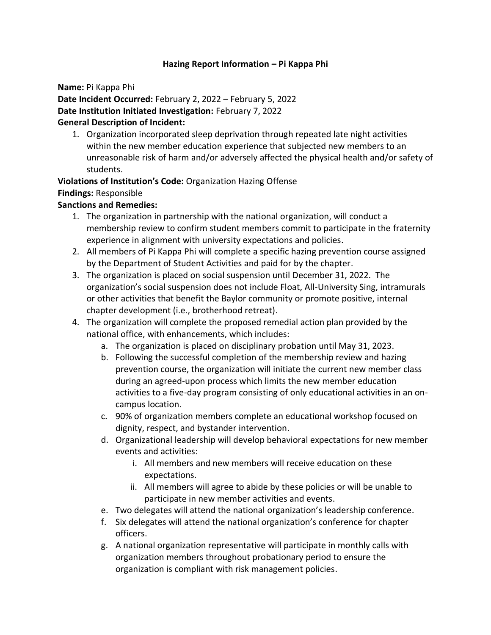## **Hazing Report Information – Pi Kappa Phi**

**Name:** Pi Kappa Phi

**Date Incident Occurred:** February 2, 2022 – February 5, 2022 **Date Institution Initiated Investigation:** February 7, 2022

## **General Description of Incident:**

1. Organization incorporated sleep deprivation through repeated late night activities within the new member education experience that subjected new members to an unreasonable risk of harm and/or adversely affected the physical health and/or safety of students.

**Violations of Institution's Code:** Organization Hazing Offense **Findings:** Responsible

## **Sanctions and Remedies:**

- 1. The organization in partnership with the national organization, will conduct a membership review to confirm student members commit to participate in the fraternity experience in alignment with university expectations and policies.
- 2. All members of Pi Kappa Phi will complete a specific hazing prevention course assigned by the Department of Student Activities and paid for by the chapter.
- 3. The organization is placed on social suspension until December 31, 2022. The organization's social suspension does not include Float, All-University Sing, intramurals or other activities that benefit the Baylor community or promote positive, internal chapter development (i.e., brotherhood retreat).
- 4. The organization will complete the proposed remedial action plan provided by the national office, with enhancements, which includes:
	- a. The organization is placed on disciplinary probation until May 31, 2023.
	- b. Following the successful completion of the membership review and hazing prevention course, the organization will initiate the current new member class during an agreed-upon process which limits the new member education activities to a five-day program consisting of only educational activities in an oncampus location.
	- c. 90% of organization members complete an educational workshop focused on dignity, respect, and bystander intervention.
	- d. Organizational leadership will develop behavioral expectations for new member events and activities:
		- i. All members and new members will receive education on these expectations.
		- ii. All members will agree to abide by these policies or will be unable to participate in new member activities and events.
	- e. Two delegates will attend the national organization's leadership conference.
	- f. Six delegates will attend the national organization's conference for chapter officers.
	- g. A national organization representative will participate in monthly calls with organization members throughout probationary period to ensure the organization is compliant with risk management policies.